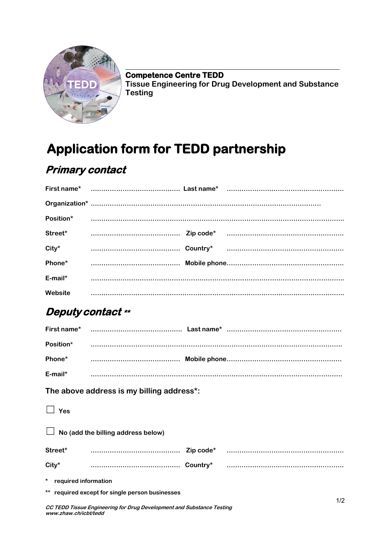

**Competence Centre TEDD Tissue Engineering for Drug Development and Substance Testing**

# **Application form for TEDD partnership**

## **Primary contact**

|            |  | Street* minimum zip code* minimum minimum minimum minimum                                                                                                                                                                      |
|------------|--|--------------------------------------------------------------------------------------------------------------------------------------------------------------------------------------------------------------------------------|
| $City^*$   |  |                                                                                                                                                                                                                                |
|            |  | Phone* material contracts and the Mobile phone and the material contracts of the Mobile phone and the material contracts of the material contracts of the material contracts of the material contracts of the material contrac |
| $E$ -mail* |  |                                                                                                                                                                                                                                |
| Website    |  |                                                                                                                                                                                                                                |

### **Deputy contact \*\***

| Position*                                 |                                                 |  |                                                                                                                                                                                                                                |  |
|-------------------------------------------|-------------------------------------------------|--|--------------------------------------------------------------------------------------------------------------------------------------------------------------------------------------------------------------------------------|--|
|                                           |                                                 |  | Phone* material contracts and the model of the material contracts of the material contracts and the material contracts of the material contracts of the material contracts of the material contracts of the material contracts |  |
|                                           |                                                 |  |                                                                                                                                                                                                                                |  |
| The above address is my billing address*: |                                                 |  |                                                                                                                                                                                                                                |  |
| Yes                                       |                                                 |  |                                                                                                                                                                                                                                |  |
| No (add the billing address below)        |                                                 |  |                                                                                                                                                                                                                                |  |
|                                           |                                                 |  |                                                                                                                                                                                                                                |  |
| $City*$                                   |                                                 |  |                                                                                                                                                                                                                                |  |
| * required information                    |                                                 |  |                                                                                                                                                                                                                                |  |
|                                           | ** required except for single person businesses |  | 1/2                                                                                                                                                                                                                            |  |